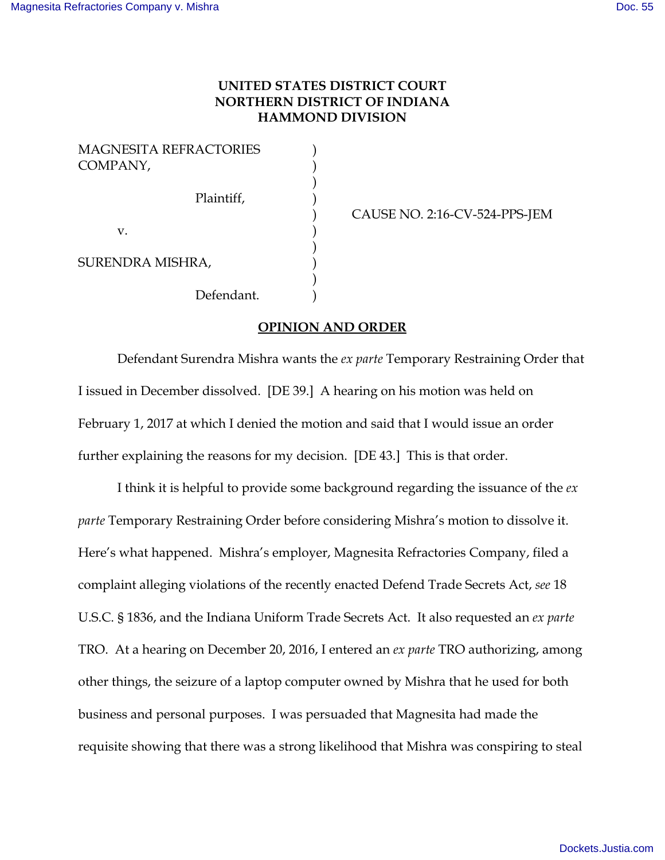## **UNITED STATES DISTRICT COURT NORTHERN DISTRICT OF INDIANA HAMMOND DIVISION**

| MAGNESITA REFRACTORIES<br>COMPANY, |            |  |
|------------------------------------|------------|--|
|                                    | Plaintiff, |  |
| V.                                 |            |  |
| SURENDRA MISHRA,                   |            |  |
|                                    | Defendant. |  |

) CAUSE NO. 2:16-CV-524-PPS-JEM

## **OPINION AND ORDER**

Defendant Surendra Mishra wants the *ex parte* Temporary Restraining Order that I issued in December dissolved. [DE 39.] A hearing on his motion was held on February 1, 2017 at which I denied the motion and said that I would issue an order further explaining the reasons for my decision. [DE 43.] This is that order.

I think it is helpful to provide some background regarding the issuance of the *ex parte* Temporary Restraining Order before considering Mishra's motion to dissolve it. Here's what happened. Mishra's employer, Magnesita Refractories Company, filed a complaint alleging violations of the recently enacted Defend Trade Secrets Act, *see* 18 U.S.C. § 1836, and the Indiana Uniform Trade Secrets Act. It also requested an *ex parte* TRO. At a hearing on December 20, 2016, I entered an *ex parte* TRO authorizing, among other things, the seizure of a laptop computer owned by Mishra that he used for both business and personal purposes. I was persuaded that Magnesita had made the requisite showing that there was a strong likelihood that Mishra was conspiring to steal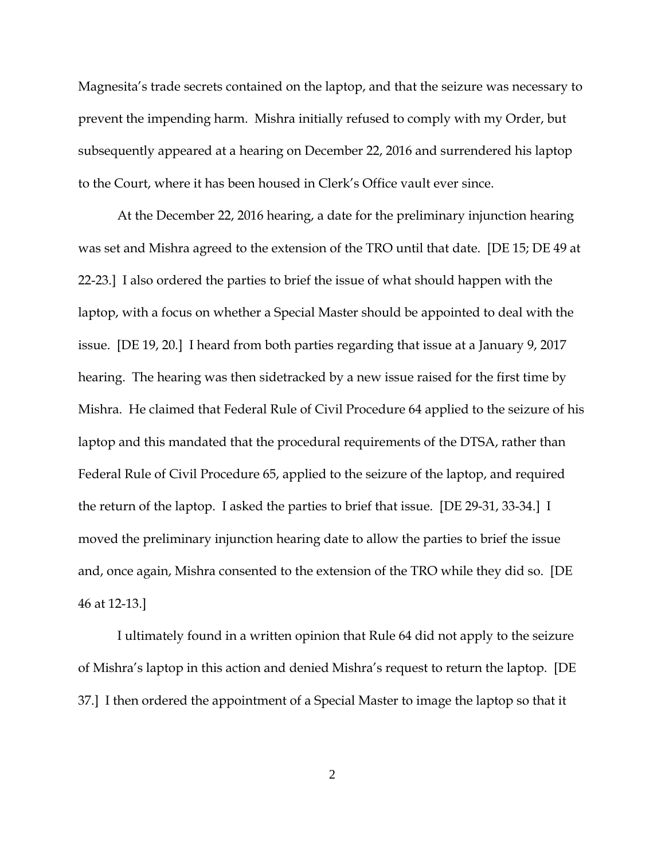Magnesita's trade secrets contained on the laptop, and that the seizure was necessary to prevent the impending harm. Mishra initially refused to comply with my Order, but subsequently appeared at a hearing on December 22, 2016 and surrendered his laptop to the Court, where it has been housed in Clerk's Office vault ever since.

At the December 22, 2016 hearing, a date for the preliminary injunction hearing was set and Mishra agreed to the extension of the TRO until that date. [DE 15; DE 49 at 22-23.] I also ordered the parties to brief the issue of what should happen with the laptop, with a focus on whether a Special Master should be appointed to deal with the issue. [DE 19, 20.] I heard from both parties regarding that issue at a January 9, 2017 hearing. The hearing was then sidetracked by a new issue raised for the first time by Mishra. He claimed that Federal Rule of Civil Procedure 64 applied to the seizure of his laptop and this mandated that the procedural requirements of the DTSA, rather than Federal Rule of Civil Procedure 65, applied to the seizure of the laptop, and required the return of the laptop. I asked the parties to brief that issue. [DE 29-31, 33-34.] I moved the preliminary injunction hearing date to allow the parties to brief the issue and, once again, Mishra consented to the extension of the TRO while they did so. [DE 46 at 12-13.]

I ultimately found in a written opinion that Rule 64 did not apply to the seizure of Mishra's laptop in this action and denied Mishra's request to return the laptop. [DE 37.] I then ordered the appointment of a Special Master to image the laptop so that it

2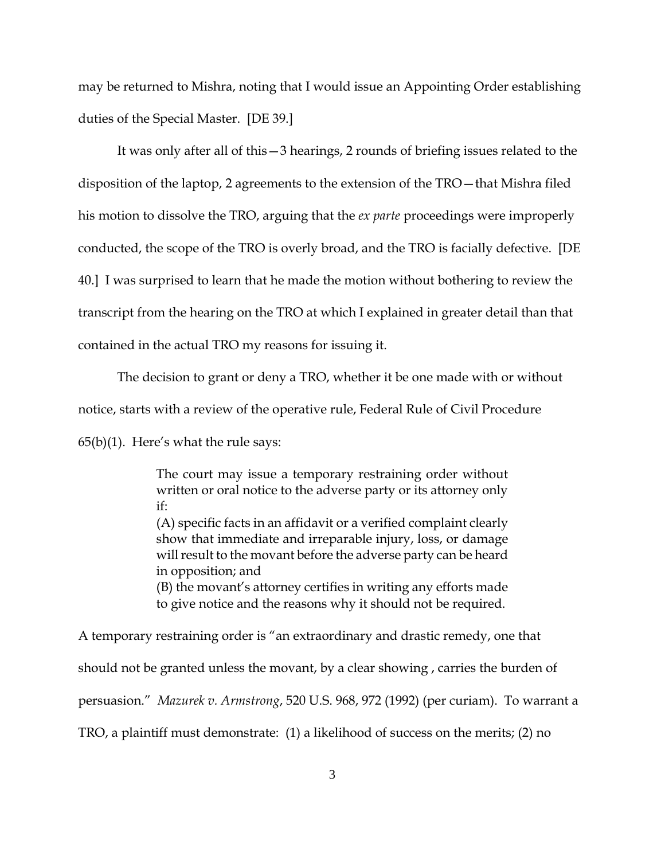may be returned to Mishra, noting that I would issue an Appointing Order establishing duties of the Special Master. [DE 39.]

It was only after all of this—3 hearings, 2 rounds of briefing issues related to the disposition of the laptop, 2 agreements to the extension of the TRO—that Mishra filed his motion to dissolve the TRO, arguing that the *ex parte* proceedings were improperly conducted, the scope of the TRO is overly broad, and the TRO is facially defective. [DE 40.] I was surprised to learn that he made the motion without bothering to review the transcript from the hearing on the TRO at which I explained in greater detail than that contained in the actual TRO my reasons for issuing it.

The decision to grant or deny a TRO, whether it be one made with or without notice, starts with a review of the operative rule, Federal Rule of Civil Procedure  $65(b)(1)$ . Here's what the rule says:

> The court may issue a temporary restraining order without written or oral notice to the adverse party or its attorney only if: (A) specific facts in an affidavit or a verified complaint clearly show that immediate and irreparable injury, loss, or damage will result to the movant before the adverse party can be heard in opposition; and (B) the movant's attorney certifies in writing any efforts made to give notice and the reasons why it should not be required.

A temporary restraining order is "an extraordinary and drastic remedy, one that should not be granted unless the movant, by a clear showing , carries the burden of persuasion." *Mazurek v. Armstrong*, 520 U.S. 968, 972 (1992) (per curiam). To warrant a TRO, a plaintiff must demonstrate: (1) a likelihood of success on the merits; (2) no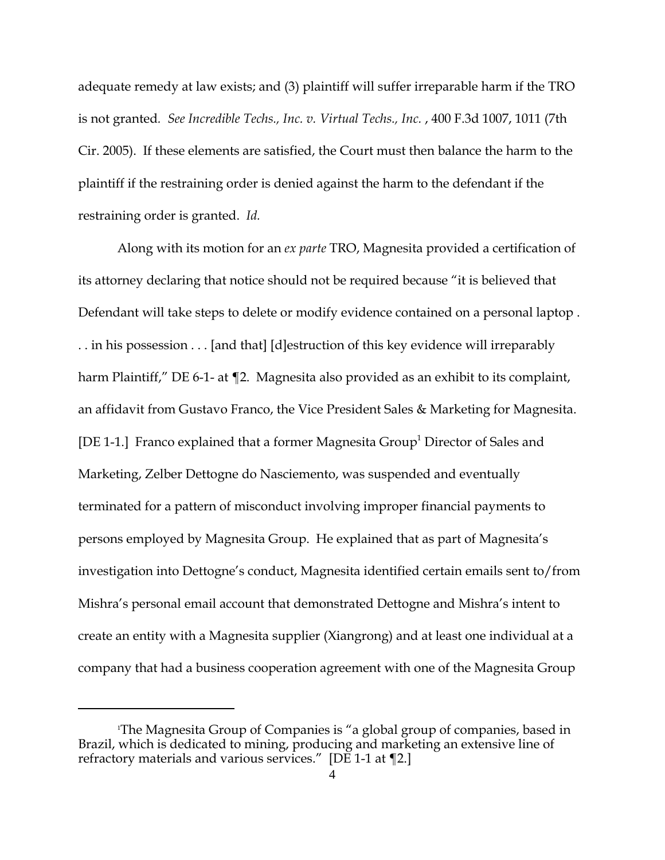adequate remedy at law exists; and (3) plaintiff will suffer irreparable harm if the TRO is not granted. See Incredible Techs., Inc. v. Virtual Techs., Inc., 400 F.3d 1007, 1011 (7th Cir. 2005). If these elements are satisfied, the Court must then balance the harm to the plaintiff if the restraining order is denied against the harm to the defendant if the restraining order is granted. *Id.* 

Along with its motion for an *ex parte* TRO, Magnesita provided a certification of its attorney declaring that notice should not be required because "it is believed that Defendant will take steps to delete or modify evidence contained on a personal laptop . . . in his possession . . . [and that] [d]estruction of this key evidence will irreparably harm Plaintiff," DE 6-1- at ¶2. Magnesita also provided as an exhibit to its complaint, an affidavit from Gustavo Franco, the Vice President Sales & Marketing for Magnesita. [DE 1-1.] Franco explained that a former Magnesita Group<sup>1</sup> Director of Sales and Marketing, Zelber Dettogne do Nasciemento, was suspended and eventually terminated for a pattern of misconduct involving improper financial payments to persons employed by Magnesita Group. He explained that as part of Magnesita's investigation into Dettogne's conduct, Magnesita identified certain emails sent to/from Mishra's personal email account that demonstrated Dettogne and Mishra's intent to create an entity with a Magnesita supplier (Xiangrong) and at least one individual at a company that had a business cooperation agreement with one of the Magnesita Group

<sup>&</sup>lt;sup>1</sup>The Magnesita Group of Companies is "a global group of companies, based in Brazil, which is dedicated to mining, producing and marketing an extensive line of refractory materials and various services."  $[DE 1-1$  at  $\P 2.]$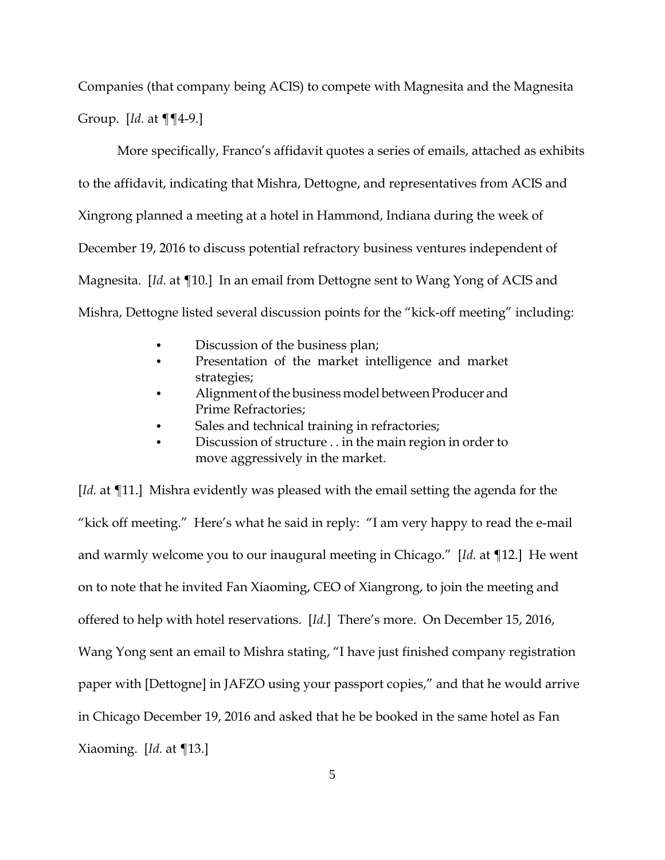Companies (that company being ACIS) to compete with Magnesita and the Magnesita Group. [*Id.* at ¶¶4-9.]

More specifically, Franco's affidavit quotes a series of emails, attached as exhibits to the affidavit, indicating that Mishra, Dettogne, and representatives from ACIS and Xingrong planned a meeting at a hotel in Hammond, Indiana during the week of December 19, 2016 to discuss potential refractory business ventures independent of Magnesita. [*Id.* at ¶10.] In an email from Dettogne sent to Wang Yong of ACIS and Mishra, Dettogne listed several discussion points for the "kick-off meeting" including:

- Discussion of the business plan;
- Presentation of the market intelligence and market strategies;
- Alignment of the business model between Producer and Prime Refractories;
- Sales and technical training in refractories;
- Discussion of structure . . in the main region in order to move aggressively in the market.

[*Id.* at **[11.]** Mishra evidently was pleased with the email setting the agenda for the "kick off meeting." Here's what he said in reply: "I am very happy to read the e-mail and warmly welcome you to our inaugural meeting in Chicago." [*Id.* at ¶12.] He went on to note that he invited Fan Xiaoming, CEO of Xiangrong, to join the meeting and offered to help with hotel reservations. [*Id.*] There's more. On December 15, 2016, Wang Yong sent an email to Mishra stating, "I have just finished company registration paper with [Dettogne] in JAFZO using your passport copies," and that he would arrive in Chicago December 19, 2016 and asked that he be booked in the same hotel as Fan Xiaoming. [*Id.* at ¶13.]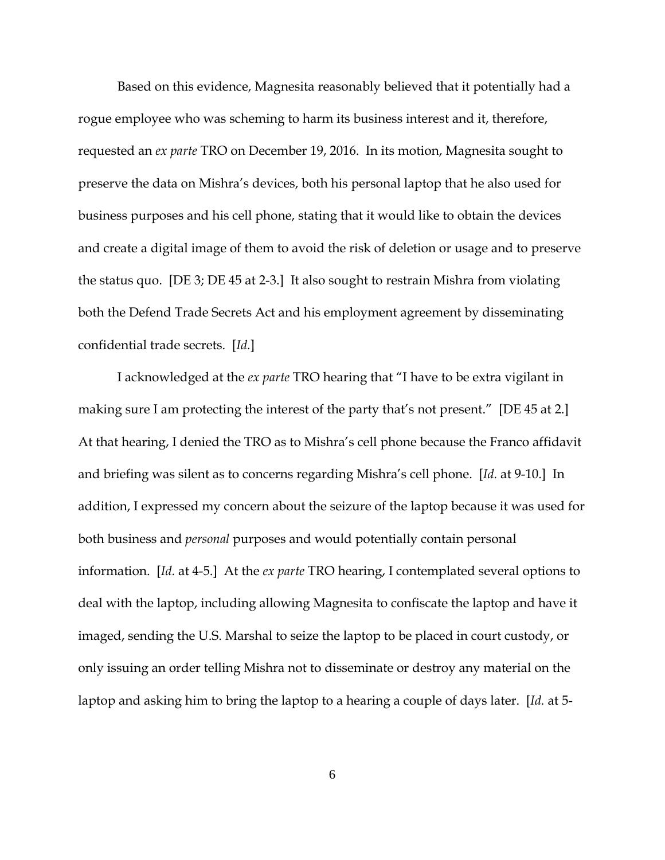Based on this evidence, Magnesita reasonably believed that it potentially had a rogue employee who was scheming to harm its business interest and it, therefore, requested an *ex parte* TRO on December 19, 2016. In its motion, Magnesita sought to preserve the data on Mishra's devices, both his personal laptop that he also used for business purposes and his cell phone, stating that it would like to obtain the devices and create a digital image of them to avoid the risk of deletion or usage and to preserve the status quo. [DE 3; DE 45 at 2-3.] It also sought to restrain Mishra from violating both the Defend Trade Secrets Act and his employment agreement by disseminating confidential trade secrets. [*Id.*]

I acknowledged at the *ex parte* TRO hearing that "I have to be extra vigilant in making sure I am protecting the interest of the party that's not present." [DE 45 at 2.] At that hearing, I denied the TRO as to Mishra's cell phone because the Franco affidavit and briefing was silent as to concerns regarding Mishra's cell phone. [*Id.* at 9-10.] In addition, I expressed my concern about the seizure of the laptop because it was used for both business and *personal* purposes and would potentially contain personal information. [*Id.* at 4-5.] At the *ex parte* TRO hearing, I contemplated several options to deal with the laptop, including allowing Magnesita to confiscate the laptop and have it imaged, sending the U.S. Marshal to seize the laptop to be placed in court custody, or only issuing an order telling Mishra not to disseminate or destroy any material on the laptop and asking him to bring the laptop to a hearing a couple of days later. [*Id.* at 5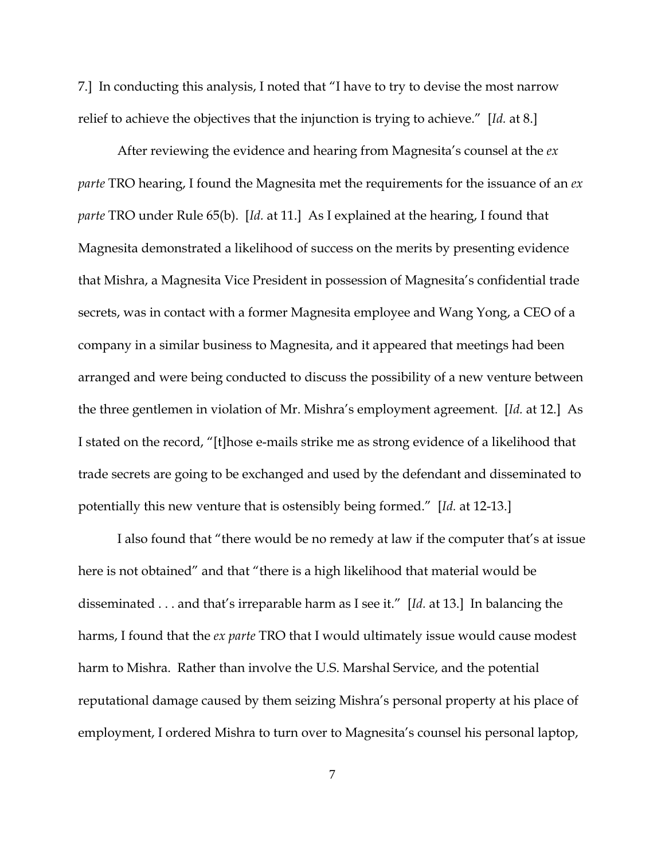7.] In conducting this analysis, I noted that "I have to try to devise the most narrow relief to achieve the objectives that the injunction is trying to achieve." [*Id.* at 8.]

After reviewing the evidence and hearing from Magnesita's counsel at the *ex parte* TRO hearing, I found the Magnesita met the requirements for the issuance of an *ex parte* TRO under Rule 65(b). [*Id.* at 11.] As I explained at the hearing, I found that Magnesita demonstrated a likelihood of success on the merits by presenting evidence that Mishra, a Magnesita Vice President in possession of Magnesita's confidential trade secrets, was in contact with a former Magnesita employee and Wang Yong, a CEO of a company in a similar business to Magnesita, and it appeared that meetings had been arranged and were being conducted to discuss the possibility of a new venture between the three gentlemen in violation of Mr. Mishra's employment agreement. [*Id.* at 12.] As I stated on the record, "[t]hose e-mails strike me as strong evidence of a likelihood that trade secrets are going to be exchanged and used by the defendant and disseminated to potentially this new venture that is ostensibly being formed." [*Id.* at 12-13.]

I also found that "there would be no remedy at law if the computer that's at issue here is not obtained" and that "there is a high likelihood that material would be disseminated . . . and that's irreparable harm as I see it." [*Id.* at 13.] In balancing the harms, I found that the *ex parte* TRO that I would ultimately issue would cause modest harm to Mishra. Rather than involve the U.S. Marshal Service, and the potential reputational damage caused by them seizing Mishra's personal property at his place of employment, I ordered Mishra to turn over to Magnesita's counsel his personal laptop,

7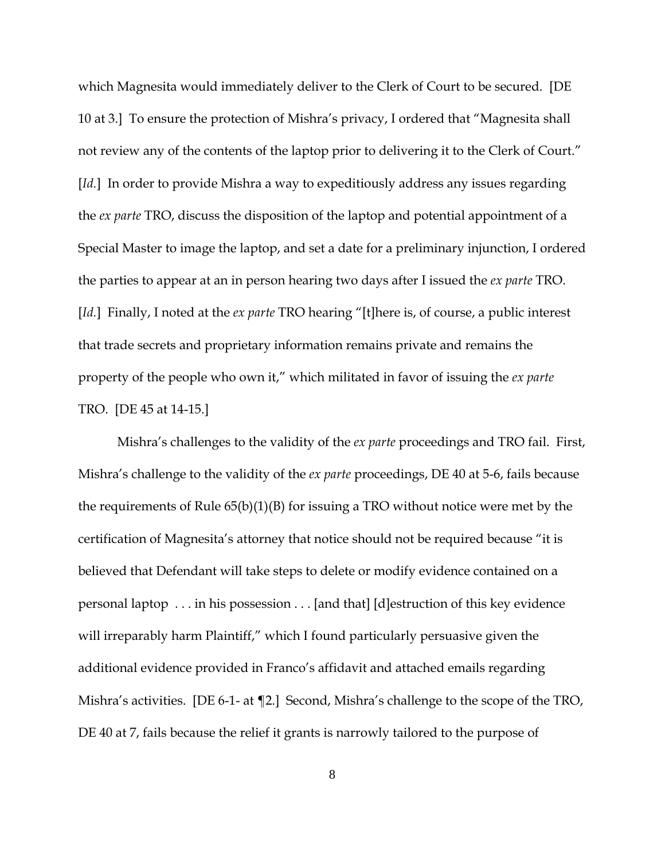which Magnesita would immediately deliver to the Clerk of Court to be secured. [DE 10 at 3.] To ensure the protection of Mishra's privacy, I ordered that "Magnesita shall not review any of the contents of the laptop prior to delivering it to the Clerk of Court." [*Id.*] In order to provide Mishra a way to expeditiously address any issues regarding the *ex parte* TRO, discuss the disposition of the laptop and potential appointment of a Special Master to image the laptop, and set a date for a preliminary injunction, I ordered the parties to appear at an in person hearing two days after I issued the *ex parte* TRO. [*Id.*] Finally, I noted at the *ex parte* TRO hearing "[t]here is, of course, a public interest that trade secrets and proprietary information remains private and remains the property of the people who own it," which militated in favor of issuing the *ex parte* TRO. [DE 45 at 14-15.]

Mishra's challenges to the validity of the *ex parte* proceedings and TRO fail. First, Mishra's challenge to the validity of the *ex parte* proceedings, DE 40 at 5-6, fails because the requirements of Rule 65(b)(1)(B) for issuing a TRO without notice were met by the certification of Magnesita's attorney that notice should not be required because "it is believed that Defendant will take steps to delete or modify evidence contained on a personal laptop . . . in his possession . . . [and that] [d]estruction of this key evidence will irreparably harm Plaintiff," which I found particularly persuasive given the additional evidence provided in Franco's affidavit and attached emails regarding Mishra's activities. [DE 6-1- at ¶2.] Second, Mishra's challenge to the scope of the TRO, DE 40 at 7, fails because the relief it grants is narrowly tailored to the purpose of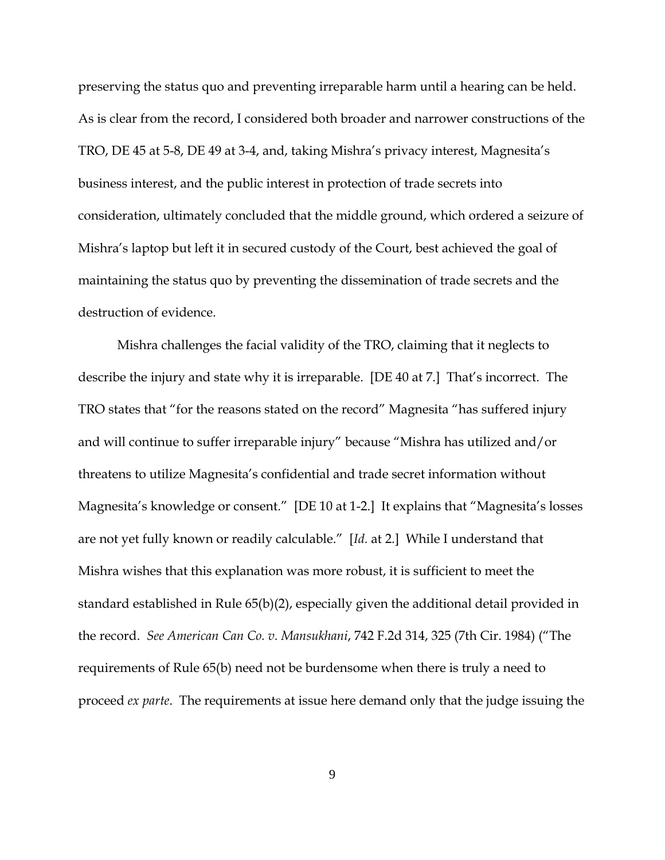preserving the status quo and preventing irreparable harm until a hearing can be held. As is clear from the record, I considered both broader and narrower constructions of the TRO, DE 45 at 5-8, DE 49 at 3-4, and, taking Mishra's privacy interest, Magnesita's business interest, and the public interest in protection of trade secrets into consideration, ultimately concluded that the middle ground, which ordered a seizure of Mishra's laptop but left it in secured custody of the Court, best achieved the goal of maintaining the status quo by preventing the dissemination of trade secrets and the destruction of evidence.

Mishra challenges the facial validity of the TRO, claiming that it neglects to describe the injury and state why it is irreparable. [DE 40 at 7.] That's incorrect. The TRO states that "for the reasons stated on the record" Magnesita "has suffered injury and will continue to suffer irreparable injury" because "Mishra has utilized and/or threatens to utilize Magnesita's confidential and trade secret information without Magnesita's knowledge or consent." [DE 10 at 1-2.] It explains that "Magnesita's losses are not yet fully known or readily calculable." [*Id.* at 2.] While I understand that Mishra wishes that this explanation was more robust, it is sufficient to meet the standard established in Rule 65(b)(2), especially given the additional detail provided in the record. *See American Can Co. v. Mansukhani*, 742 F.2d 314, 325 (7th Cir. 1984) ("The requirements of Rule 65(b) need not be burdensome when there is truly a need to proceed *ex parte*. The requirements at issue here demand only that the judge issuing the

9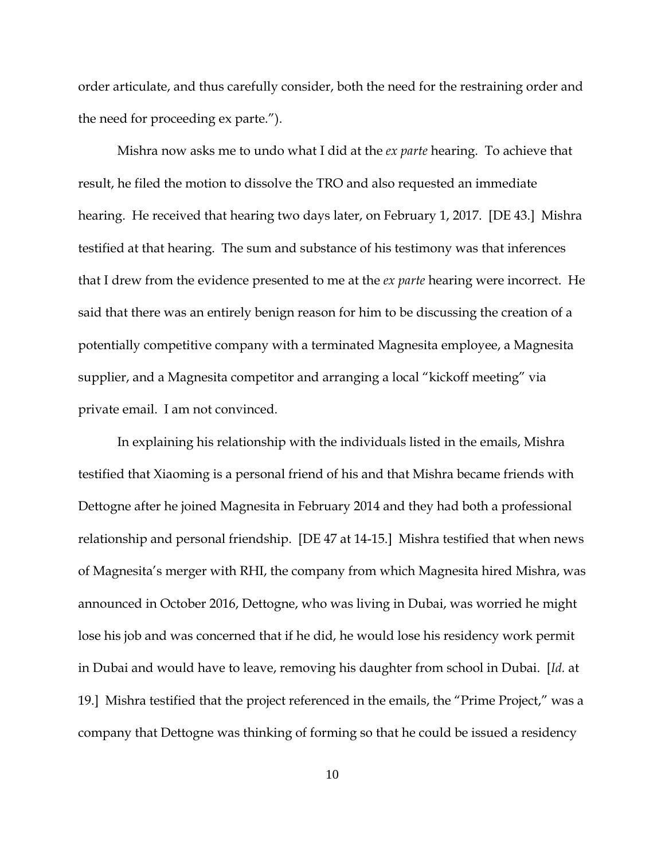order articulate, and thus carefully consider, both the need for the restraining order and the need for proceeding ex parte.").

Mishra now asks me to undo what I did at the *ex parte* hearing. To achieve that result, he filed the motion to dissolve the TRO and also requested an immediate hearing. He received that hearing two days later, on February 1, 2017. [DE 43.] Mishra testified at that hearing. The sum and substance of his testimony was that inferences that I drew from the evidence presented to me at the *ex parte* hearing were incorrect. He said that there was an entirely benign reason for him to be discussing the creation of a potentially competitive company with a terminated Magnesita employee, a Magnesita supplier, and a Magnesita competitor and arranging a local "kickoff meeting" via private email. I am not convinced.

In explaining his relationship with the individuals listed in the emails, Mishra testified that Xiaoming is a personal friend of his and that Mishra became friends with Dettogne after he joined Magnesita in February 2014 and they had both a professional relationship and personal friendship. [DE 47 at 14-15.] Mishra testified that when news of Magnesita's merger with RHI, the company from which Magnesita hired Mishra, was announced in October 2016, Dettogne, who was living in Dubai, was worried he might lose his job and was concerned that if he did, he would lose his residency work permit in Dubai and would have to leave, removing his daughter from school in Dubai. [*Id.* at 19.] Mishra testified that the project referenced in the emails, the "Prime Project," was a company that Dettogne was thinking of forming so that he could be issued a residency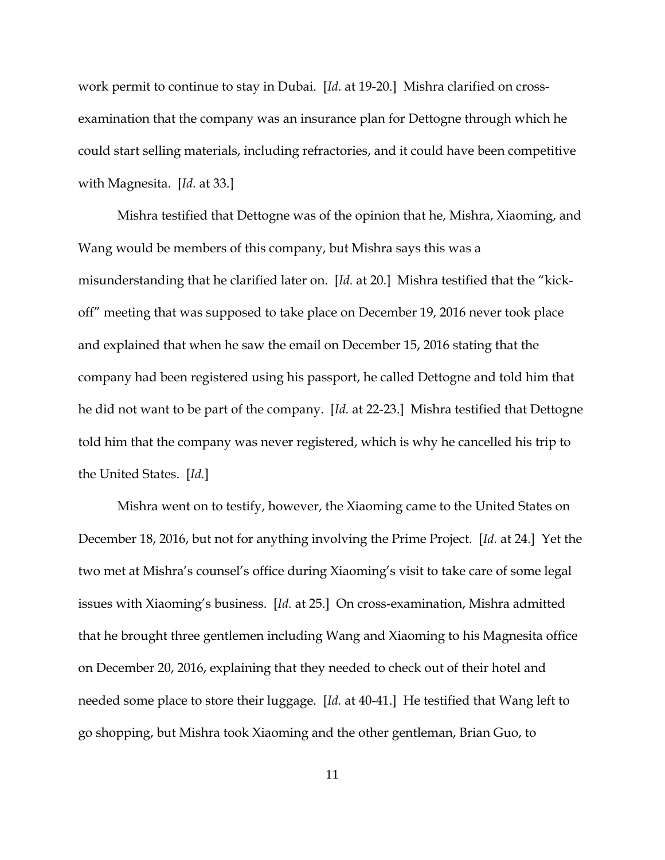work permit to continue to stay in Dubai. [*Id.* at 19-20.] Mishra clarified on crossexamination that the company was an insurance plan for Dettogne through which he could start selling materials, including refractories, and it could have been competitive with Magnesita. [*Id.* at 33.]

Mishra testified that Dettogne was of the opinion that he, Mishra, Xiaoming, and Wang would be members of this company, but Mishra says this was a misunderstanding that he clarified later on. [*Id.* at 20.] Mishra testified that the "kickoff" meeting that was supposed to take place on December 19, 2016 never took place and explained that when he saw the email on December 15, 2016 stating that the company had been registered using his passport, he called Dettogne and told him that he did not want to be part of the company. [*Id.* at 22-23.] Mishra testified that Dettogne told him that the company was never registered, which is why he cancelled his trip to the United States. [*Id.*]

Mishra went on to testify, however, the Xiaoming came to the United States on December 18, 2016, but not for anything involving the Prime Project. [*Id.* at 24.] Yet the two met at Mishra's counsel's office during Xiaoming's visit to take care of some legal issues with Xiaoming's business. [*Id.* at 25.] On cross-examination, Mishra admitted that he brought three gentlemen including Wang and Xiaoming to his Magnesita office on December 20, 2016, explaining that they needed to check out of their hotel and needed some place to store their luggage. [*Id.* at 40-41.] He testified that Wang left to go shopping, but Mishra took Xiaoming and the other gentleman, Brian Guo, to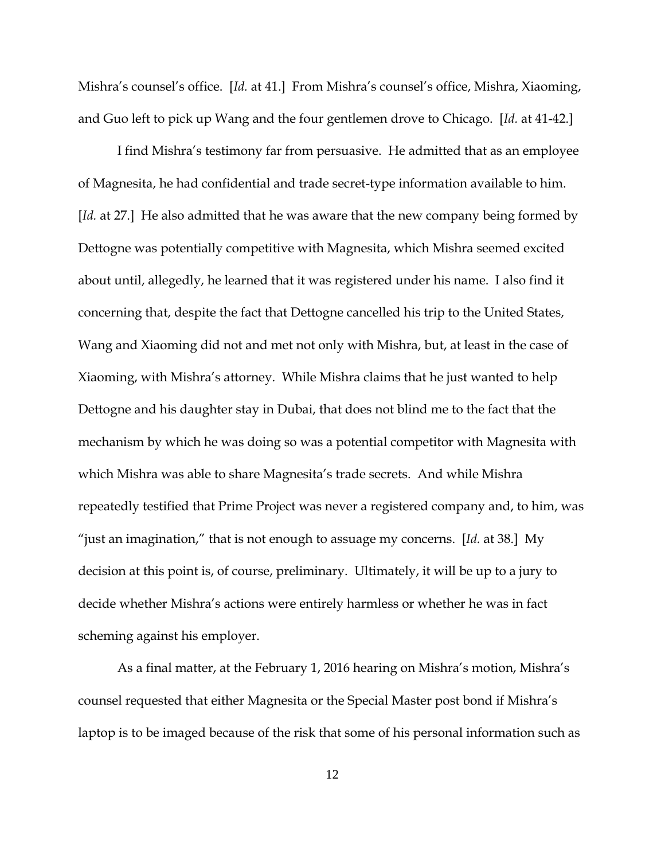Mishra's counsel's office. [*Id.* at 41.] From Mishra's counsel's office, Mishra, Xiaoming, and Guo left to pick up Wang and the four gentlemen drove to Chicago. [*Id.* at 41-42.]

I find Mishra's testimony far from persuasive. He admitted that as an employee of Magnesita, he had confidential and trade secret-type information available to him. [*Id.* at 27.] He also admitted that he was aware that the new company being formed by Dettogne was potentially competitive with Magnesita, which Mishra seemed excited about until, allegedly, he learned that it was registered under his name. I also find it concerning that, despite the fact that Dettogne cancelled his trip to the United States, Wang and Xiaoming did not and met not only with Mishra, but, at least in the case of Xiaoming, with Mishra's attorney. While Mishra claims that he just wanted to help Dettogne and his daughter stay in Dubai, that does not blind me to the fact that the mechanism by which he was doing so was a potential competitor with Magnesita with which Mishra was able to share Magnesita's trade secrets. And while Mishra repeatedly testified that Prime Project was never a registered company and, to him, was "just an imagination," that is not enough to assuage my concerns. [*Id.* at 38.] My decision at this point is, of course, preliminary. Ultimately, it will be up to a jury to decide whether Mishra's actions were entirely harmless or whether he was in fact scheming against his employer.

As a final matter, at the February 1, 2016 hearing on Mishra's motion, Mishra's counsel requested that either Magnesita or the Special Master post bond if Mishra's laptop is to be imaged because of the risk that some of his personal information such as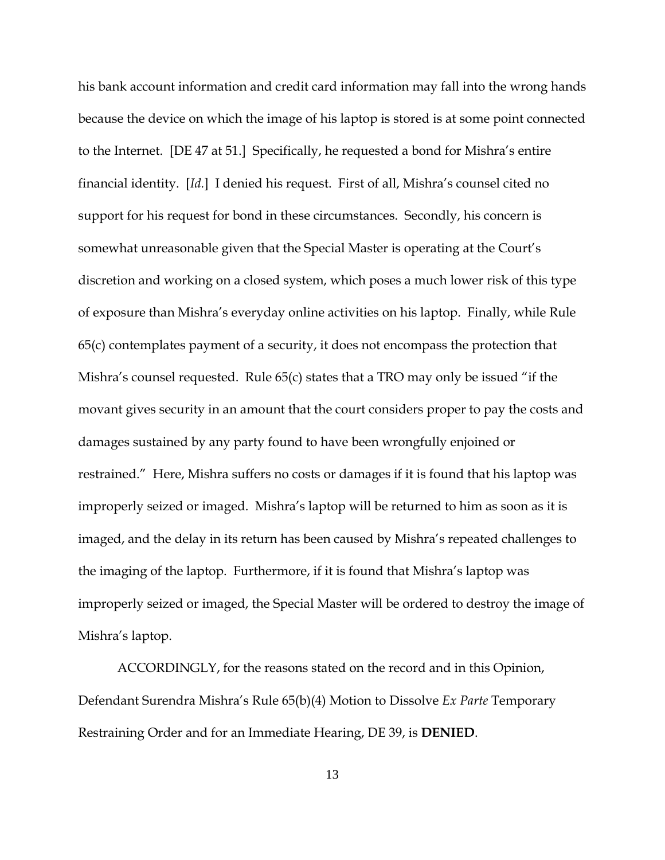his bank account information and credit card information may fall into the wrong hands because the device on which the image of his laptop is stored is at some point connected to the Internet. [DE 47 at 51.] Specifically, he requested a bond for Mishra's entire financial identity. [*Id.*] I denied his request. First of all, Mishra's counsel cited no support for his request for bond in these circumstances. Secondly, his concern is somewhat unreasonable given that the Special Master is operating at the Court's discretion and working on a closed system, which poses a much lower risk of this type of exposure than Mishra's everyday online activities on his laptop. Finally, while Rule 65(c) contemplates payment of a security, it does not encompass the protection that Mishra's counsel requested. Rule 65(c) states that a TRO may only be issued "if the movant gives security in an amount that the court considers proper to pay the costs and damages sustained by any party found to have been wrongfully enjoined or restrained." Here, Mishra suffers no costs or damages if it is found that his laptop was improperly seized or imaged. Mishra's laptop will be returned to him as soon as it is imaged, and the delay in its return has been caused by Mishra's repeated challenges to the imaging of the laptop. Furthermore, if it is found that Mishra's laptop was improperly seized or imaged, the Special Master will be ordered to destroy the image of Mishra's laptop.

ACCORDINGLY, for the reasons stated on the record and in this Opinion, Defendant Surendra Mishra's Rule 65(b)(4) Motion to Dissolve *Ex Parte* Temporary Restraining Order and for an Immediate Hearing, DE 39, is **DENIED**.